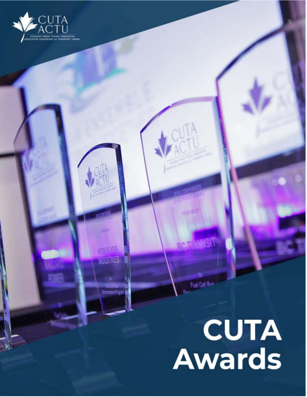

**FINEIVER** 

NOUSTRIES

# CUTA<br>Awards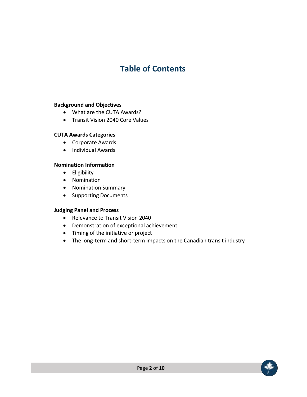# **Table of Contents**

#### **Background and Objectives**

- What are the CUTA Awards?
- Transit Vision 2040 Core Values

#### **CUTA Awards Categories**

- Corporate Awards
- Individual Awards

#### **Nomination Information**

- Eligibility
- Nomination
- Nomination Summary
- Supporting Documents

#### **Judging Panel and Process**

- Relevance to Transit Vision 2040
- Demonstration of exceptional achievement
- Timing of the initiative or project
- The long-term and short-term impacts on the Canadian transit industry

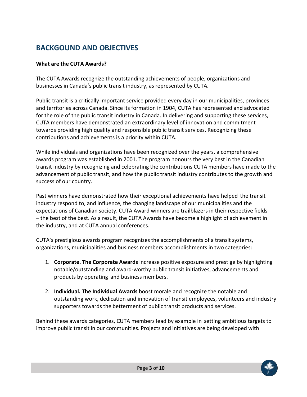# **BACKGOUND AND OBJECTIVES**

# **What are the CUTA Awards?**

The CUTA Awards recognize the outstanding achievements of people, organizations and businesses in Canada's public transit industry, as represented by CUTA.

Public transit is a critically important service provided every day in our municipalities, provinces and territories across Canada. Since its formation in 1904, CUTA has represented and advocated for the role of the public transit industry in Canada. In delivering and supporting these services, CUTA members have demonstrated an extraordinary level of innovation and commitment towards providing high quality and responsible public transit services. Recognizing these contributions and achievements is a priority within CUTA.

While individuals and organizations have been recognized over the years, a comprehensive awards program was established in 2001. The program honours the very best in the Canadian transit industry by recognizing and celebrating the contributions CUTA members have made to the advancement of public transit, and how the public transit industry contributes to the growth and success of our country.

Past winners have demonstrated how their exceptional achievements have helped the transit industry respond to, and influence, the changing landscape of our municipalities and the expectations of Canadian society. CUTA Award winners are trailblazers in their respective fields – the best of the best. As a result, the CUTA Awards have become a highlight of achievement in the industry, and at CUTA annual conferences.

CUTA's prestigious awards program recognizes the accomplishments of a transit systems, organizations, municipalities and business members accomplishments in two categories:

- 1. **Corporate. The Corporate Awards** increase positive exposure and prestige by highlighting notable/outstanding and award-worthy public transit initiatives, advancements and products by operating and business members.
- 2. **Individual. The Individual Awards** boost morale and recognize the notable and outstanding work, dedication and innovation of transit employees, volunteers and industry supporters towards the betterment of public transit products and services.

Behind these awards categories, CUTA members lead by example in setting ambitious targets to improve public transit in our communities. Projects and initiatives are being developed with

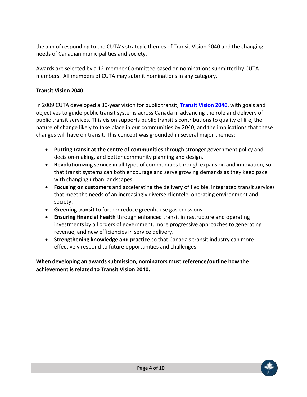the aim of responding to the CUTA's strategic themes of Transit Vision 2040 and the changing needs of Canadian municipalities and society.

Awards are selected by a 12-member Committee based on nominations submitted by CUTA members. All members of CUTA may submit nominations in any category.

# **Transit Vision 2040**

In 2009 CUTA developed a 30-year vision for public transit, **Transit Vision 2040**, with goals and objectives to guide public transit systems across Canada in advancing the role and delivery of public transit services. This vision supports public transit's contributions to quality of life, the nature of change likely to take place in our communities by 2040, and the implications that these changes will have on transit. This concept was grounded in several major themes:

- **Putting transit at the centre of communities** through stronger government policy and decision-making, and better community planning and design.
- **Revolutionizing service** in all types of communities through expansion and innovation, so that transit systems can both encourage and serve growing demands as they keep pace with changing urban landscapes.
- **Focusing on customers** and accelerating the delivery of flexible, integrated transit services that meet the needs of an increasingly diverse clientele, operating environment and society.
- **Greening transit** to further reduce greenhouse gas emissions.
- **Ensuring financial health** through enhanced transit infrastructure and operating investments by all orders of government, more progressive approaches to generating revenue, and new efficiencies in service delivery.
- **Strengthening knowledge and practice** so that Canada's transit industry can more effectively respond to future opportunities and challenges.

**When developing an awards submission, nominators must reference/outline how the achievement is related to Transit Vision 2040.**

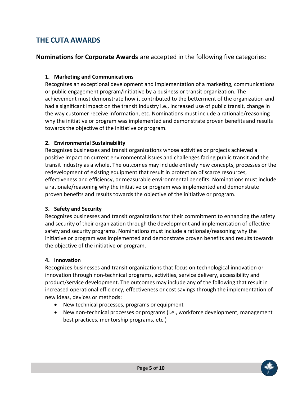# **THE CUTA AWARDS**

**Nominations for Corporate Awards** are accepted in the following five categories:

# **1. Marketing and Communications**

Recognizes an exceptional development and implementation of a marketing, communications or public engagement program/initiative by a business or transit organization. The achievement must demonstrate how it contributed to the betterment of the organization and had a significant impact on the transit industry i.e., increased use of public transit, change in the way customer receive information, etc. Nominations must include a rationale/reasoning why the initiative or program was implemented and demonstrate proven benefits and results towards the objective of the initiative or program.

## **2. Environmental Sustainability**

Recognizes businesses and transit organizations whose activities or projects achieved a positive impact on current environmental issues and challenges facing public transit and the transit industry as a whole. The outcomes may include entirely new concepts, processes or the redevelopment of existing equipment that result in protection of scarce resources, effectiveness and efficiency, or measurable environmental benefits. Nominations must include a rationale/reasoning why the initiative or program was implemented and demonstrate proven benefits and results towards the objective of the initiative or program.

#### **3. Safety and Security**

Recognizes businesses and transit organizations for their commitment to enhancing the safety and security of their organization through the development and implementation of effective safety and security programs. Nominations must include a rationale/reasoning why the initiative or program was implemented and demonstrate proven benefits and results towards the objective of the initiative or program.

#### **4. Innovation**

Recognizes businesses and transit organizations that focus on technological innovation or innovation through non-technical programs, activities, service delivery, accessibility and product/service development. The outcomes may include any of the following that result in increased operational efficiency, effectiveness or cost savings through the implementation of new ideas, devices or methods:

- New technical processes, programs or equipment
- New non-technical processes or programs (i.e., workforce development, management best practices, mentorship programs, etc.)

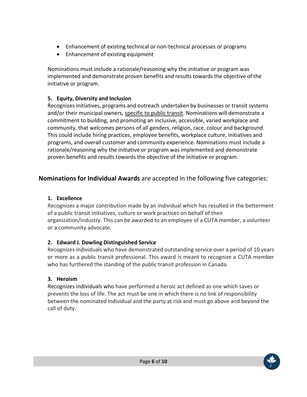- Enhancement of existing technical or non-technical processes or programs
- Enhancement of existing equipment

Nominations must include a rationale/reasoning why the initiative or program was implemented and demonstrate proven benefits and results towards the objective of the initiative or program.

# **5. Equity, Diversity and Inclusion**

Recognizes initiatives, programs and outreach undertaken by businesses or transit systems and/or their municipal owners, specific to public transit. Nominations will demonstrate a commitment to building, and promoting an inclusive, accessible, varied workplace and community, that welcomes persons of all genders, religion, race, colour and background. This could include hiring practices, employee benefits, workplace culture, initiatives and programs, and overall customer and community experience. Nominations must include a rationale/reasoning why the initiative or program was implemented and demonstrate proven benefits and results towards the objective of the initiative or program.

# **Nominations for Individual Awards** are accepted in the following five categories:

# **1. Excellence**

Recognizes a major contribution made by an individual which has resulted in the betterment of a public transit initiatives, culture or work practices on behalf of their organization/industry. This can be awarded to an employee of a CUTA member, a volunteer or a community advocate.

# **2. Edward J. Dowling Distinguished Service**

Recognizes individuals who have demonstrated outstanding service over a period of 10 years or more as a public transit professional. This award is meant to recognize a CUTA member who has furthered the standing of the public transit profession in Canada.

# **3. Heroism**

Recognizes individuals who have performed a heroic act defined as one which saves or prevents the loss of life. The act must be one in which there is no link of responsibility between the nominated individual and the party at risk and must go above and beyond the call of duty.

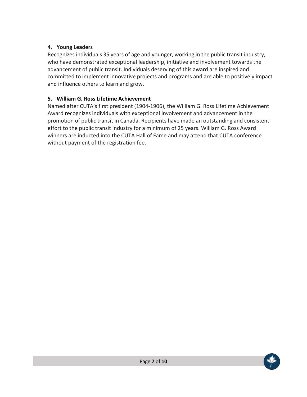# **4. Young Leaders**

Recognizes individuals 35 years of age and younger, working in the public transit industry, who have demonstrated exceptional leadership, initiative and involvement towards the advancement of public transit. Individuals deserving of this award are inspired and committed to implement innovative projects and programs and are able to positively impact and influence others to learn and grow.

# **5. William G. Ross Lifetime Achievement**

Named after CUTA's first president (1904-1906), the William G. Ross Lifetime Achievement Award recognizes individuals with exceptional involvement and advancement in the promotion of public transit in Canada. Recipients have made an outstanding and consistent effort to the public transit industry for a minimum of 25 years. William G. Ross Award winners are inducted into the CUTA Hall of Fame and may attend that CUTA conference without payment of the registration fee.

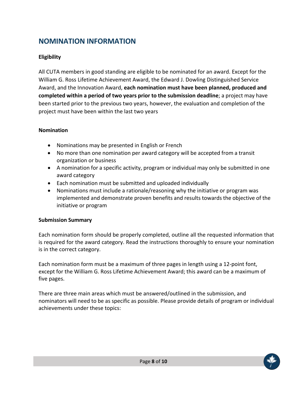# **NOMINATION INFORMATION**

# **Eligibility**

All CUTA members in good standing are eligible to be nominated for an award. Except for the William G. Ross Lifetime Achievement Award, the Edward J. Dowling Distinguished Service Award, and the Innovation Award, **each nomination must have been planned, produced and completed within a period of two years prior to the submission deadline**; a project may have been started prior to the previous two years, however, the evaluation and completion of the project must have been within the last two years

## **Nomination**

- Nominations may be presented in English or French
- No more than one nomination per award category will be accepted from a transit organization or business
- A nomination for a specific activity, program or individual may only be submitted in one award category
- Each nomination must be submitted and uploaded individually
- Nominations must include a rationale/reasoning why the initiative or program was implemented and demonstrate proven benefits and results towards the objective of the initiative or program

#### **Submission Summary**

Each nomination form should be properly completed, outline all the requested information that is required for the award category. Read the instructions thoroughly to ensure your nomination is in the correct category.

Each nomination form must be a maximum of three pages in length using a 12-point font, except for the William G. Ross Lifetime Achievement Award; this award can be a maximum of five pages.

There are three main areas which must be answered/outlined in the submission, and nominators will need to be as specific as possible. Please provide details of program or individual achievements under these topics:

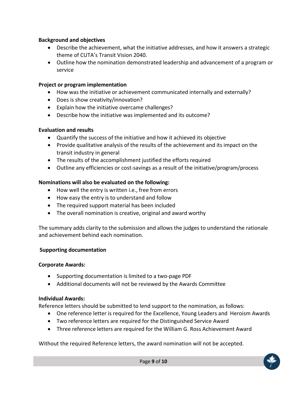## **Background and objectives**

- Describe the achievement, what the initiative addresses, and how it answers a strategic theme of CUTA's Transit Vision 2040.
- Outline how the nomination demonstrated leadership and advancement of a program or service

## **Project or program implementation**

- How was the initiative or achievement communicated internally and externally?
- Does is show creativity/innovation?
- Explain how the initiative overcame challenges?
- Describe how the initiative was implemented and its outcome?

## **Evaluation and results**

- Quantify the success of the initiative and how it achieved its objective
- Provide qualitative analysis of the results of the achievement and its impact on the transit industry in general
- The results of the accomplishment justified the efforts required
- Outline any efficiencies or cost-savings as a result of the initiative/program/process

# **Nominations will also be evaluated on the following:**

- How well the entry is written i.e., free from errors
- How easy the entry is to understand and follow
- The required support material has been included
- The overall nomination is creative, original and award worthy

The summary adds clarity to the submission and allows the judges to understand the rationale and achievement behind each nomination.

#### **Supporting documentation**

#### **Corporate Awards:**

- Supporting documentation is limited to a two-page PDF
- Additional documents will not be reviewed by the Awards Committee

#### **Individual Awards:**

Reference letters should be submitted to lend support to the nomination, as follows:

- One reference letter is required for the Excellence, Young Leaders and Heroism Awards
- Two reference letters are required for the Distinguished Service Award
- Three reference letters are required for the William G. Ross Achievement Award

Without the required Reference letters, the award nomination will not be accepted.